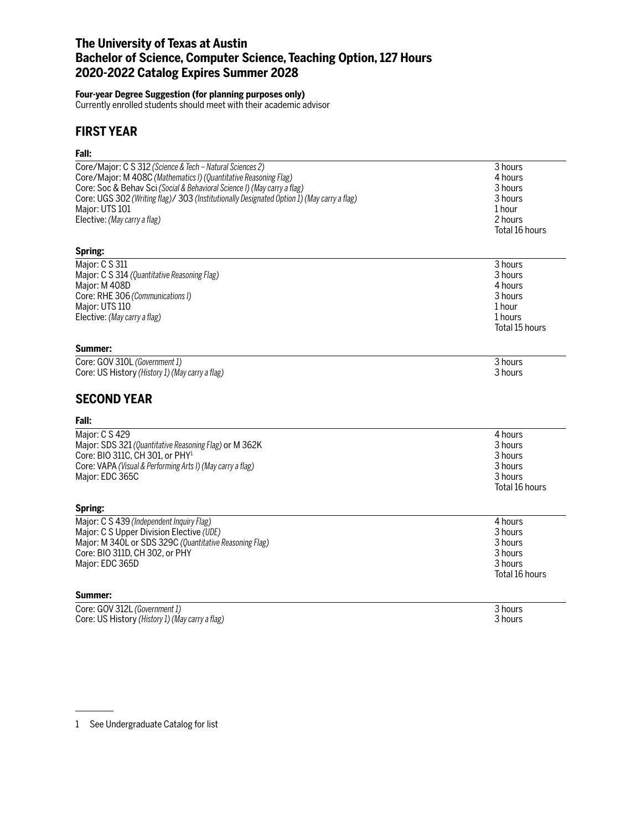# **The University of Texas at Austin Bachelor of Science, Computer Science, Teaching Option, 127 Hours 2020-2022 Catalog Expires Summer 2028**

#### **Four-year Degree Suggestion (for planning purposes only)**

Currently enrolled students should meet with their academic advisor

# **FIRST YEAR**

# **Fall:**

| ган.                                                                                                                                                                                                                                                                                                    |                                                                                 |
|---------------------------------------------------------------------------------------------------------------------------------------------------------------------------------------------------------------------------------------------------------------------------------------------------------|---------------------------------------------------------------------------------|
| Core/Major: C S 312 (Science & Tech - Natural Sciences 2)<br>Core/Major: M 408C (Mathematics I) (Quantitative Reasoning Flag)<br>Core: Soc & Behav Sci (Social & Behavioral Science I) (May carry a flag)<br>Core: UGS 302 (Writing flag)/ 303 (Institutionally Designated Option 1) (May carry a flag) | 3 hours<br>4 hours<br>3 hours<br>3 hours                                        |
| Major: UTS 101                                                                                                                                                                                                                                                                                          | 1 hour                                                                          |
| Elective: (May carry a flag)                                                                                                                                                                                                                                                                            | 2 hours<br>Total 16 hours                                                       |
| Spring:                                                                                                                                                                                                                                                                                                 |                                                                                 |
| Major: C S 311<br>Major: C S 314 (Quantitative Reasoning Flag)<br>Major: M 408D<br>Core: RHE 306 (Communications I)<br>Major: UTS 110<br>Elective: (May carry a flag)                                                                                                                                   | 3 hours<br>3 hours<br>4 hours<br>3 hours<br>1 hour<br>1 hours<br>Total 15 hours |
| Summer:                                                                                                                                                                                                                                                                                                 |                                                                                 |
| Core: GOV 310L (Government 1)<br>Core: US History (History 1) (May carry a flag)                                                                                                                                                                                                                        | 3 hours<br>3 hours                                                              |
| <b>SECOND YEAR</b>                                                                                                                                                                                                                                                                                      |                                                                                 |
| Fall:                                                                                                                                                                                                                                                                                                   |                                                                                 |
| Major: C S 429<br>Major: SDS 321 (Quantitative Reasoning Flag) or M 362K<br>Core: BIO 311C, CH 301, or PHY <sup>1</sup><br>Core: VAPA (Visual & Performing Arts I) (May carry a flag)<br>Major: EDC 365C                                                                                                | 4 hours<br>3 hours<br>3 hours<br>3 hours<br>3 hours<br>Total 16 hours           |
| Spring:                                                                                                                                                                                                                                                                                                 |                                                                                 |
| Major: C S 439 (Independent Inquiry Flag)<br>Major: C S Upper Division Elective (UDE)<br>Major: M 340L or SDS 329C (Quantitative Reasoning Flag)<br>Core: BIO 311D, CH 302, or PHY<br>Major: EDC 365D                                                                                                   | 4 hours<br>3 hours<br>3 hours<br>3 hours<br>3 hours<br>Total 16 hours           |
| Summer:                                                                                                                                                                                                                                                                                                 |                                                                                 |
| Core: GOV 312L (Government 1)<br>Core: US History (History 1) (May carry a flag)                                                                                                                                                                                                                        | 3 hours<br>3 hours                                                              |

1 See Undergraduate Catalog for list